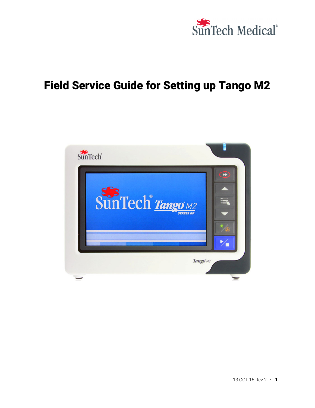

# Field Service Guide for Setting up Tango M2

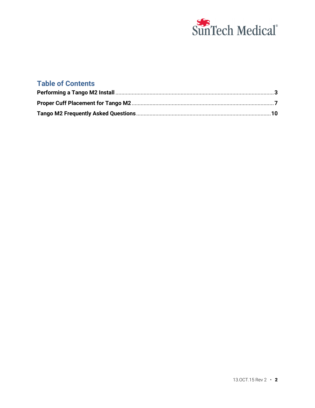

# **Table of Contents**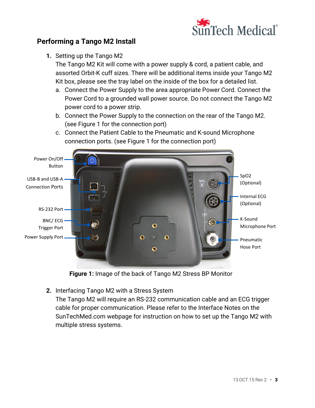

# **Performing a Tango M2 Install**

**1.** Setting up the Tango M2

The Tango M2 Kit will come with a power supply & cord, a patient cable, and assorted Orbit-K cuff sizes. There will be additional items inside your Tango M2 Kit box, please see the tray label on the inside of the box for a detailed list.

- a. Connect the Power Supply to the area appropriate Power Cord. Connect the Power Cord to a grounded wall power source. Do not connect the Tango M2 power cord to a power strip.
- b. Connect the Power Supply to the connection on the rear of the Tango M2. (see Figure 1 for the connection port)
- c. Connect the Patient Cable to the Pneumatic and K-sound Microphone connection ports. (see Figure 1 for the connection port)



**Figure 1:** Image of the back of Tango M2 Stress BP Monitor

**2.** Interfacing Tango M2 with a Stress System

The Tango M2 will require an RS-232 communication cable and an ECG trigger cable for proper communication. Please refer to the Interface Notes on the SunTechMed.com webpage for instruction on how to set up the Tango M2 with multiple stress systems.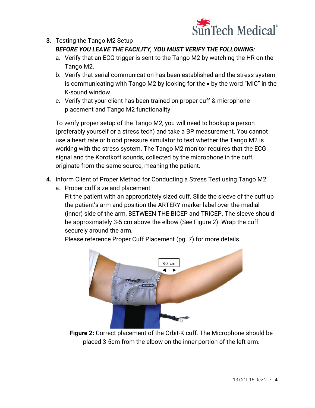

## **3.** Testing the Tango M2 Setup *BEFORE YOU LEAVE THE FACILITY, YOU MUST VERIFY THE FOLLOWING:*

- a. Verify that an ECG trigger is sent to the Tango M2 by watching the HR on the Tango M2.
- b. Verify that serial communication has been established and the stress system is communicating with Tango M2 by looking for the  $\bullet$  by the word "MIC" in the K-sound window.
- c. Verify that your client has been trained on proper cuff & microphone placement and Tango M2 functionality.

To verify proper setup of the Tango M2, you will need to hookup a person (preferably yourself or a stress tech) and take a BP measurement. You cannot use a heart rate or blood pressure simulator to test whether the Tango M2 is working with the stress system. The Tango M2 monitor requires that the ECG signal and the Korotkoff sounds, collected by the microphone in the cuff, originate from the same source, meaning the patient.

- **4.** Inform Client of Proper Method for Conducting a Stress Test using Tango M2
	- a. Proper cuff size and placement:
		- Fit the patient with an appropriately sized cuff. Slide the sleeve of the cuff up the patient's arm and position the ARTERY marker label over the medial (inner) side of the arm, BETWEEN THE BICEP and TRICEP. The sleeve should be approximately 3-5 cm above the elbow (See Figure 2). Wrap the cuff securely around the arm.

Please reference Proper Cuff Placement (pg. 7) for more details.



**Figure 2:** Correct placement of the Orbit-K cuff. The Microphone should be placed 3-5cm from the elbow on the inner portion of the left arm.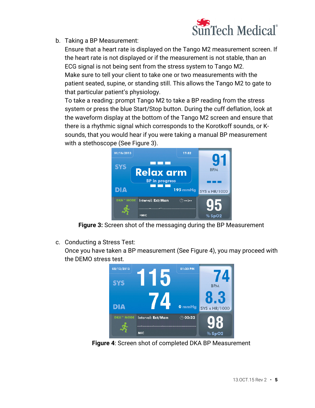

b. Taking a BP Measurement:

Ensure that a heart rate is displayed on the Tango M2 measurement screen. If the heart rate is not displayed or if the measurement is not stable, than an ECG signal is not being sent from the stress system to Tango M2. Make sure to tell your client to take one or two measurements with the patient seated, supine, or standing still. This allows the Tango M2 to gate to that particular patient's physiology.

To take a reading: prompt Tango M2 to take a BP reading from the stress system or press the blue Start/Stop button. During the cuff deflation, look at the waveform display at the bottom of the Tango M2 screen and ensure that there is a rhythmic signal which corresponds to the Korotkoff sounds, or Ksounds, that you would hear if you were taking a manual BP measurement with a stethoscope (See Figure 3).



**Figure 3:** Screen shot of the messaging during the BP Measurement

c. Conducting a Stress Test:

Once you have taken a BP measurement (See Figure 4), you may proceed with the DEMO stress test.



**Figure 4**: Screen shot of completed DKA BP Measurement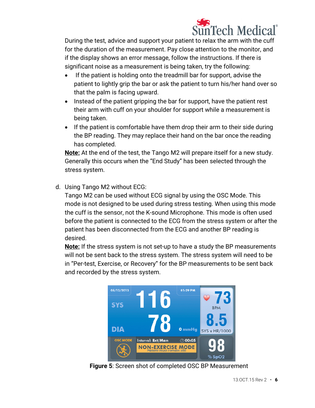

During the test, advice and support your patient to relax the arm with the cuff for the duration of the measurement. Pay close attention to the monitor, and if the display shows an error message, follow the instructions. If there is significant noise as a measurement is being taken, try the following:

- If the patient is holding onto the treadmill bar for support, advise the patient to lightly grip the bar or ask the patient to turn his/her hand over so that the palm is facing upward.
- Instead of the patient gripping the bar for support, have the patient rest their arm with cuff on your shoulder for support while a measurement is being taken.
- If the patient is comfortable have them drop their arm to their side during the BP reading. They may replace their hand on the bar once the reading has completed.

**Note:** At the end of the test, the Tango M2 will prepare itself for a new study. Generally this occurs when the "End Study" has been selected through the stress system.

d. Using Tango M2 without ECG:

Tango M2 can be used without ECG signal by using the OSC Mode. This mode is not designed to be used during stress testing. When using this mode the cuff is the sensor, not the K-sound Microphone. This mode is often used before the patient is connected to the ECG from the stress system or after the patient has been disconnected from the ECG and another BP reading is desired.

**Note:** If the stress system is not set-up to have a study the BP measurements will not be sent back to the stress system. The stress system will need to be in "Per-test, Exercise, or Recovery" for the BP measurements to be sent back and recorded by the stress system.



 **Figure 5**: Screen shot of completed OSC BP Measurement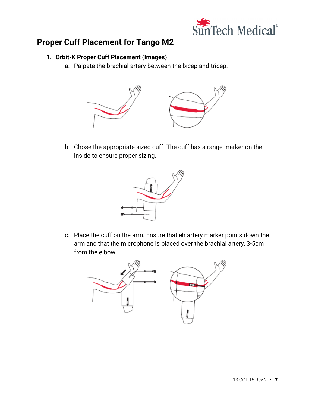

# **Proper Cuff Placement for Tango M2**

## **1. Orbit-K Proper Cuff Placement (Images)**

a. Palpate the brachial artery between the bicep and tricep.



b. Chose the appropriate sized cuff. The cuff has a range marker on the inside to ensure proper sizing.



c. Place the cuff on the arm. Ensure that eh artery marker points down the arm and that the microphone is placed over the brachial artery, 3-5cm from the elbow.

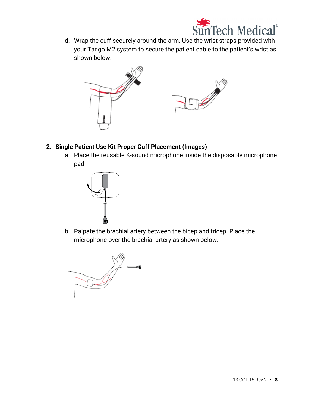

d. Wrap the cuff securely around the arm. Use the wrist straps provided with your Tango M2 system to secure the patient cable to the patient's wrist as shown below.



- **2. Single Patient Use Kit Proper Cuff Placement (Images)** 
	- a. Place the reusable K-sound microphone inside the disposable microphone pad



b. Palpate the brachial artery between the bicep and tricep. Place the microphone over the brachial artery as shown below.

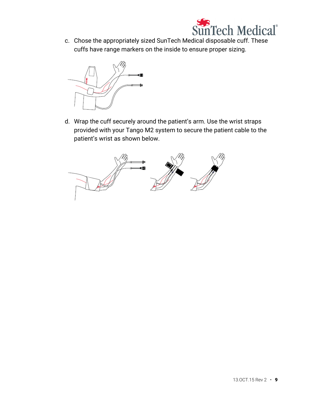

c. Chose the appropriately sized SunTech Medical disposable cuff. These cuffs have range markers on the inside to ensure proper sizing.



d. Wrap the cuff securely around the patient's arm. Use the wrist straps provided with your Tango M2 system to secure the patient cable to the patient's wrist as shown below.

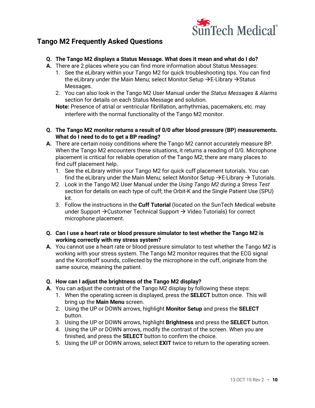

# **Tango M2 Frequently Asked Questions**

- **Q. The Tango M2 displays a Status Message. What does it mean and what do I do?**
- **A.** There are 2 places where you can find more information about Status Messages:
	- 1. See the eLibrary within your Tango M2 for quick troubleshooting tips. You can find the eLibrary under the Main Menu; select Monitor Setup  $\rightarrow$  E-Library  $\rightarrow$  Status Messages.
	- 2. You can also look in the Tango M2 User Manual under the *Status Messages & Alarms* section for details on each Status Message and solution.
	- **Note:** Presence of atrial or ventricular fibrillation, arrhythmias, pacemakers, etc. may interfere with the normal functionality of the Tango M2 monitor.
- **Q. The Tango M2 monitor returns a result of 0/0 after blood pressure (BP) measurements. What do I need to do to get a BP reading?**
- **A.** There are certain noisy conditions where the Tango M2 cannot accurately measure BP. When the Tango M2 encounters these situations, it returns a reading of 0/0. Microphone placement is critical for reliable operation of the Tango M2; there are many places to find cuff placement help.
	- 1. See the eLibrary within your Tango M2 for quick cuff placement tutorials. You can find the eLibrary under the Main Menu; select Monitor Setup  $\rightarrow$  E-Library  $\rightarrow$  Tutorials.
	- 2. Look in the Tango M2 User Manual under the *Using Tango M2 during a Stress Test* section for details on each type of cuff; the Orbit-K and the Single Patient Use (SPU) kit.
	- 3. Follow the instructions in the **Cuff Tutorial** (located on the SunTech Medical website under Support  $\rightarrow$  Customer Technical Support  $\rightarrow$  Video Tutorials) for correct microphone placement.
- **Q. Can I use a heart rate or blood pressure simulator to test whether the Tango M2 is working correctly with my stress system?**
- **A.** You cannot use a heart rate or blood pressure simulator to test whether the Tango M2 is working with your stress system. The Tango M2 monitor requires that the ECG signal and the Korotkoff sounds, collected by the microphone in the cuff, originate from the same source, meaning the patient.

#### **Q. How can I adjust the brightness of the Tango M2 display?**

- **A.** You can adjust the contrast of the Tango M2 display by following these steps:
	- 1. When the operating screen is displayed, press the **SELECT** button once. This will bring up the **Main Menu** screen.
	- 2. Using the UP or DOWN arrows, highlight **Monitor Setup** and press the **SELECT** button.
	- 3. Using the UP or DOWN arrows, highlight **Brightness** and press the **SELECT** button.
	- 4. Using the UP or DOWN arrows, modify the contrast of the screen. When you are finished, and press the **SELECT** button to confirm the choice.
	- 5. Using the UP or DOWN arrows, select **EXIT** twice to return to the operating screen.